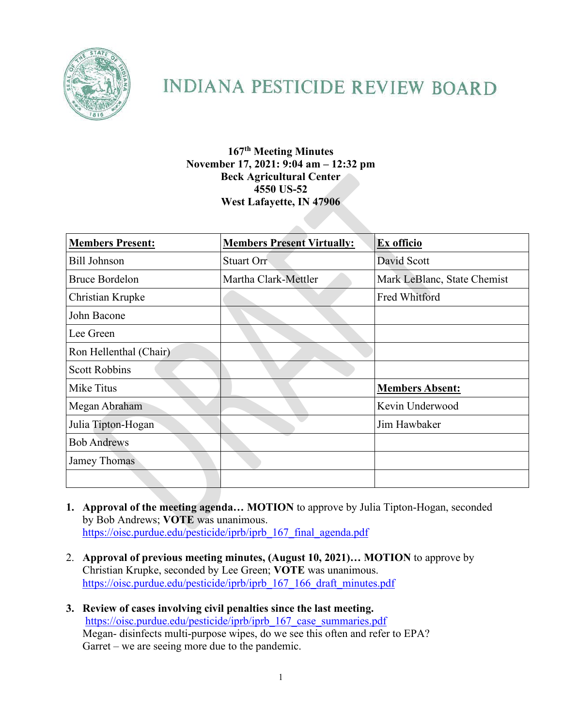

# **INDIANA PESTICIDE REVIEW BOARD**

### **167th Meeting Minutes November 17, 2021: 9:04 am – 12:32 pm Beck Agricultural Center 4550 US-52 West Lafayette, IN 47906**

| <b>Members Present:</b> | <b>Members Present Virtually:</b> | Ex officio                  |
|-------------------------|-----------------------------------|-----------------------------|
| <b>Bill Johnson</b>     | Stuart Orr                        | David Scott                 |
| <b>Bruce Bordelon</b>   | Martha Clark-Mettler              | Mark LeBlanc, State Chemist |
| Christian Krupke        |                                   | Fred Whitford               |
| John Bacone             |                                   |                             |
| Lee Green               |                                   |                             |
| Ron Hellenthal (Chair)  |                                   |                             |
| <b>Scott Robbins</b>    |                                   |                             |
| Mike Titus              |                                   | <b>Members Absent:</b>      |
| Megan Abraham           |                                   | Kevin Underwood             |
| Julia Tipton-Hogan      |                                   | Jim Hawbaker                |
| <b>Bob Andrews</b>      |                                   |                             |
| Jamey Thomas            |                                   |                             |
|                         |                                   |                             |

- **1. Approval of the meeting agenda… MOTION** to approve by Julia Tipton-Hogan, seconded by Bob Andrews; **VOTE** was unanimous. [https://oisc.purdue.edu/pesticide/iprb/iprb\\_167\\_final\\_agenda.pdf](https://oisc.purdue.edu/pesticide/iprb/iprb_167_final_agenda.pdf)
- 2. **Approval of previous meeting minutes, (August 10, 2021)… MOTION** to approve by Christian Krupke, seconded by Lee Green; **VOTE** was unanimous. [https://oisc.purdue.edu/pesticide/iprb/iprb\\_167\\_166\\_draft\\_minutes.pdf](https://oisc.purdue.edu/pesticide/iprb/iprb_167_166_draft_minutes.pdf)
- **3. Review of cases involving civil penalties since the last meeting.** [https://oisc.purdue.edu/pesticide/iprb/iprb\\_167\\_case\\_summaries.pdf](https://oisc.purdue.edu/pesticide/iprb/iprb_167_case_summaries.pdf) Megan- disinfects multi-purpose wipes, do we see this often and refer to EPA? Garret – we are seeing more due to the pandemic.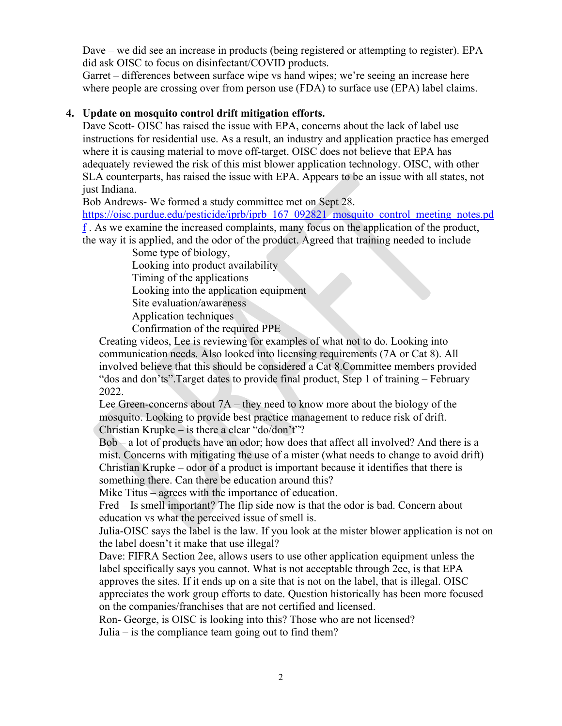Dave – we did see an increase in products (being registered or attempting to register). EPA did ask OISC to focus on disinfectant/COVID products.

Garret – differences between surface wipe vs hand wipes; we're seeing an increase here where people are crossing over from person use (FDA) to surface use (EPA) label claims.

#### **4. Update on mosquito control drift mitigation efforts.**

Dave Scott- OISC has raised the issue with EPA, concerns about the lack of label use instructions for residential use. As a result, an industry and application practice has emerged where it is causing material to move off-target. OISC does not believe that EPA has adequately reviewed the risk of this mist blower application technology. OISC, with other SLA counterparts, has raised the issue with EPA. Appears to be an issue with all states, not just Indiana.

Bob Andrews- We formed a study committee met on Sept 28.

https://oisc.purdue.edu/pesticide/iprb/iprb 167 092821 mosquito control meeting notes.pd [f](https://oisc.purdue.edu/pesticide/iprb/iprb_167_092821_mosquito_control_meeting_notes.pdf) . As we examine the increased complaints, many focus on the application of the product,

the way it is applied, and the odor of the product. Agreed that training needed to include Some type of biology,

Looking into product availability

Timing of the applications

Looking into the application equipment

Site evaluation/awareness

Application techniques

Confirmation of the required PPE

Creating videos, Lee is reviewing for examples of what not to do. Looking into communication needs. Also looked into licensing requirements (7A or Cat 8). All involved believe that this should be considered a Cat 8.Committee members provided "dos and don'ts".Target dates to provide final product, Step 1 of training – February 2022.

Lee Green-concerns about 7A – they need to know more about the biology of the mosquito. Looking to provide best practice management to reduce risk of drift. Christian Krupke – is there a clear "do/don't"?

Bob – a lot of products have an odor; how does that affect all involved? And there is a mist. Concerns with mitigating the use of a mister (what needs to change to avoid drift) Christian Krupke – odor of a product is important because it identifies that there is something there. Can there be education around this?

Mike Titus – agrees with the importance of education.

Fred – Is smell important? The flip side now is that the odor is bad. Concern about education vs what the perceived issue of smell is.

Julia-OISC says the label is the law. If you look at the mister blower application is not on the label doesn't it make that use illegal?

Dave: FIFRA Section 2ee, allows users to use other application equipment unless the label specifically says you cannot. What is not acceptable through 2ee, is that EPA approves the sites. If it ends up on a site that is not on the label, that is illegal. OISC appreciates the work group efforts to date. Question historically has been more focused on the companies/franchises that are not certified and licensed.

Ron- George, is OISC is looking into this? Those who are not licensed?

Julia – is the compliance team going out to find them?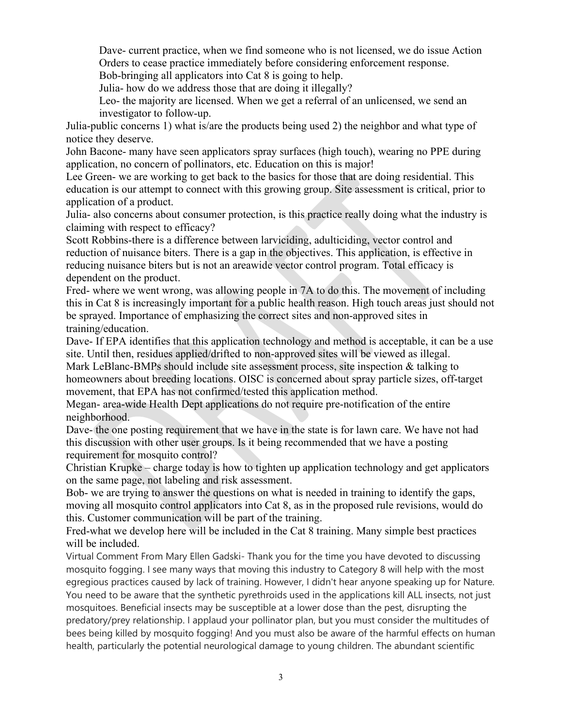Dave- current practice, when we find someone who is not licensed, we do issue Action Orders to cease practice immediately before considering enforcement response.

Bob-bringing all applicators into Cat 8 is going to help.

Julia- how do we address those that are doing it illegally?

Leo- the majority are licensed. When we get a referral of an unlicensed, we send an investigator to follow-up.

Julia-public concerns 1) what is/are the products being used 2) the neighbor and what type of notice they deserve.

John Bacone- many have seen applicators spray surfaces (high touch), wearing no PPE during application, no concern of pollinators, etc. Education on this is major!

Lee Green- we are working to get back to the basics for those that are doing residential. This education is our attempt to connect with this growing group. Site assessment is critical, prior to application of a product.

Julia- also concerns about consumer protection, is this practice really doing what the industry is claiming with respect to efficacy?

Scott Robbins-there is a difference between larviciding, adulticiding, vector control and reduction of nuisance biters. There is a gap in the objectives. This application, is effective in reducing nuisance biters but is not an areawide vector control program. Total efficacy is dependent on the product.

Fred- where we went wrong, was allowing people in 7A to do this. The movement of including this in Cat 8 is increasingly important for a public health reason. High touch areas just should not be sprayed. Importance of emphasizing the correct sites and non-approved sites in training/education.

Dave- If EPA identifies that this application technology and method is acceptable, it can be a use site. Until then, residues applied/drifted to non-approved sites will be viewed as illegal.

Mark LeBlanc-BMPs should include site assessment process, site inspection & talking to homeowners about breeding locations. OISC is concerned about spray particle sizes, off-target movement, that EPA has not confirmed/tested this application method.

Megan- area-wide Health Dept applications do not require pre-notification of the entire neighborhood.

Dave- the one posting requirement that we have in the state is for lawn care. We have not had this discussion with other user groups. Is it being recommended that we have a posting requirement for mosquito control?

Christian Krupke – charge today is how to tighten up application technology and get applicators on the same page, not labeling and risk assessment.

Bob- we are trying to answer the questions on what is needed in training to identify the gaps, moving all mosquito control applicators into Cat 8, as in the proposed rule revisions, would do this. Customer communication will be part of the training.

Fred-what we develop here will be included in the Cat 8 training. Many simple best practices will be included.

Virtual Comment From Mary Ellen Gadski- Thank you for the time you have devoted to discussing mosquito fogging. I see many ways that moving this industry to Category 8 will help with the most egregious practices caused by lack of training. However, I didn't hear anyone speaking up for Nature. You need to be aware that the synthetic pyrethroids used in the applications kill ALL insects, not just mosquitoes. Beneficial insects may be susceptible at a lower dose than the pest, disrupting the predatory/prey relationship. I applaud your pollinator plan, but you must consider the multitudes of bees being killed by mosquito fogging! And you must also be aware of the harmful effects on human health, particularly the potential neurological damage to young children. The abundant scientific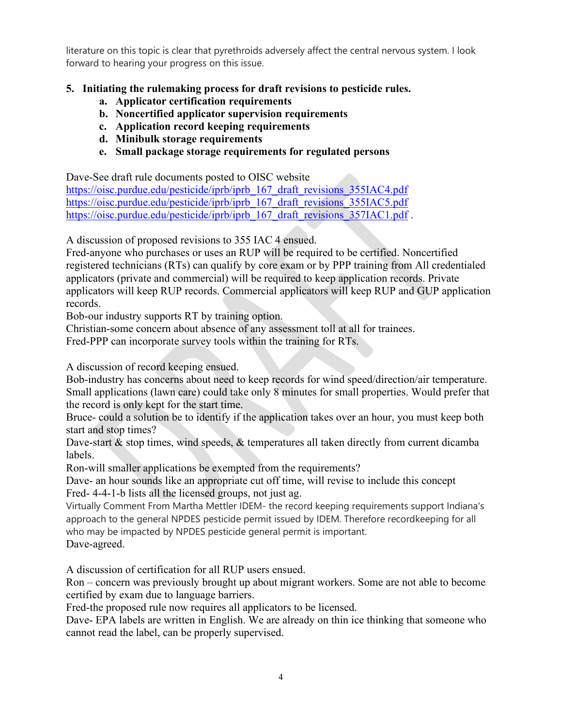literature on this topic is clear that pyrethroids adversely affect the central nervous system. I look forward to hearing your progress on this issue.

## **5. Initiating the rulemaking process for draft revisions to pesticide rules.**

- **a. Applicator certification requirements**
- **b. Noncertified applicator supervision requirements**
- **c. Application record keeping requirements**
- **d. Minibulk storage requirements**
- **e. Small package storage requirements for regulated persons**

Dave-See draft rule documents posted to OISC website

[https://oisc.purdue.edu/pesticide/iprb/iprb\\_167\\_draft\\_revisions\\_355IAC4.pdf](https://oisc.purdue.edu/pesticide/iprb/iprb_167_draft_revisions_355IAC4.pdf) [https://oisc.purdue.edu/pesticide/iprb/iprb\\_167\\_draft\\_revisions\\_355IAC5.pdf](https://oisc.purdue.edu/pesticide/iprb/iprb_167_draft_revisions_355IAC5.pdf) [https://oisc.purdue.edu/pesticide/iprb/iprb\\_167\\_draft\\_revisions\\_357IAC1.pdf](https://oisc.purdue.edu/pesticide/iprb/iprb_167_draft_revisions_357IAC1.pdf).

A discussion of proposed revisions to 355 IAC 4 ensued.

Fred-anyone who purchases or uses an RUP will be required to be certified. Noncertified registered technicians (RTs) can qualify by core exam or by PPP training from All credentialed applicators (private and commercial) will be required to keep application records. Private applicators will keep RUP records. Commercial applicators will keep RUP and GUP application records.

Bob-our industry supports RT by training option.

Christian-some concern about absence of any assessment toll at all for trainees.

Fred-PPP can incorporate survey tools within the training for RTs.

A discussion of record keeping ensued.

Bob-industry has concerns about need to keep records for wind speed/direction/air temperature. Small applications (lawn care) could take only 8 minutes for small properties. Would prefer that the record is only kept for the start time.

Bruce- could a solution be to identify if the application takes over an hour, you must keep both start and stop times?

Dave-start & stop times, wind speeds, & temperatures all taken directly from current dicamba labels.

Ron-will smaller applications be exempted from the requirements?

Dave- an hour sounds like an appropriate cut off time, will revise to include this concept Fred- 4-4-1-b lists all the licensed groups, not just ag.

Virtually Comment From Martha Mettler IDEM- the record keeping requirements support Indiana's approach to the general NPDES pesticide permit issued by IDEM. Therefore recordkeeping for all who may be impacted by NPDES pesticide general permit is important. Dave-agreed.

A discussion of certification for all RUP users ensued.

Ron – concern was previously brought up about migrant workers. Some are not able to become certified by exam due to language barriers.

Fred-the proposed rule now requires all applicators to be licensed.

Dave- EPA labels are written in English. We are already on thin ice thinking that someone who cannot read the label, can be properly supervised.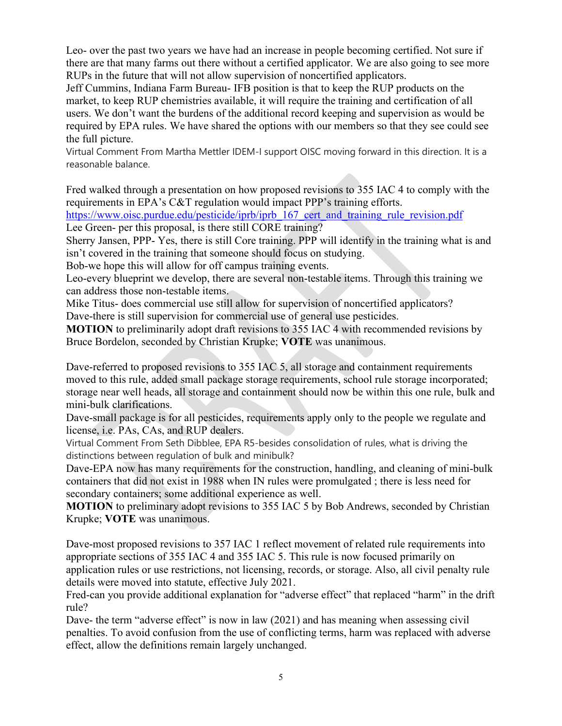Leo- over the past two years we have had an increase in people becoming certified. Not sure if there are that many farms out there without a certified applicator. We are also going to see more RUPs in the future that will not allow supervision of noncertified applicators.

Jeff Cummins, Indiana Farm Bureau- IFB position is that to keep the RUP products on the market, to keep RUP chemistries available, it will require the training and certification of all users. We don't want the burdens of the additional record keeping and supervision as would be required by EPA rules. We have shared the options with our members so that they see could see the full picture.

Virtual Comment From Martha Mettler IDEM-I support OISC moving forward in this direction. It is a reasonable balance.

Fred walked through a presentation on how proposed revisions to 355 IAC 4 to comply with the requirements in EPA's C&T regulation would impact PPP's training efforts.

https://www.oisc.purdue.edu/pesticide/iprb/iprb\_167 cert\_and\_training\_rule\_revision.pdf Lee Green- per this proposal, is there still CORE training?

Sherry Jansen, PPP- Yes, there is still Core training. PPP will identify in the training what is and isn't covered in the training that someone should focus on studying.

Bob-we hope this will allow for off campus training events.

Leo-every blueprint we develop, there are several non-testable items. Through this training we can address those non-testable items.

Mike Titus- does commercial use still allow for supervision of noncertified applicators? Dave-there is still supervision for commercial use of general use pesticides.

**MOTION** to preliminarily adopt draft revisions to 355 IAC 4 with recommended revisions by Bruce Bordelon, seconded by Christian Krupke; **VOTE** was unanimous.

Dave-referred to proposed revisions to 355 IAC 5, all storage and containment requirements moved to this rule, added small package storage requirements, school rule storage incorporated; storage near well heads, all storage and containment should now be within this one rule, bulk and mini-bulk clarifications.

Dave-small package is for all pesticides, requirements apply only to the people we regulate and license, i.e. PAs, CAs, and RUP dealers.

Virtual Comment From Seth Dibblee, EPA R5-besides consolidation of rules, what is driving the distinctions between regulation of bulk and minibulk?

Dave-EPA now has many requirements for the construction, handling, and cleaning of mini-bulk containers that did not exist in 1988 when IN rules were promulgated ; there is less need for secondary containers; some additional experience as well.

**MOTION** to preliminary adopt revisions to 355 IAC 5 by Bob Andrews, seconded by Christian Krupke; **VOTE** was unanimous.

Dave-most proposed revisions to 357 IAC 1 reflect movement of related rule requirements into appropriate sections of 355 IAC 4 and 355 IAC 5. This rule is now focused primarily on application rules or use restrictions, not licensing, records, or storage. Also, all civil penalty rule details were moved into statute, effective July 2021.

Fred-can you provide additional explanation for "adverse effect" that replaced "harm" in the drift rule?

Dave- the term "adverse effect" is now in law (2021) and has meaning when assessing civil penalties. To avoid confusion from the use of conflicting terms, harm was replaced with adverse effect, allow the definitions remain largely unchanged.